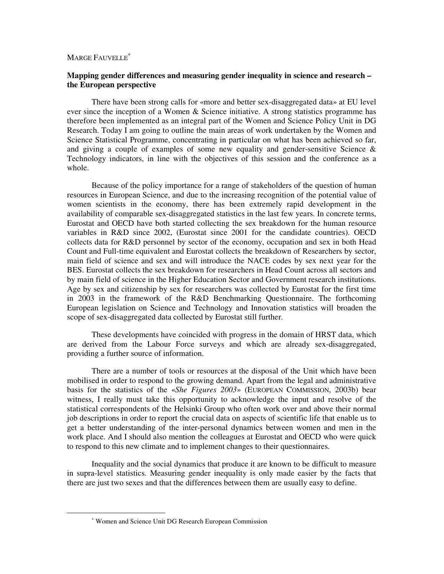# MARGE FAUVELLE<sup>\*</sup>

## **Mapping gender differences and measuring gender inequality in science and research – the European perspective**

There have been strong calls for «more and better sex-disaggregated data» at EU level ever since the inception of a Women & Science initiative. A strong statistics programme has therefore been implemented as an integral part of the Women and Science Policy Unit in DG Research. Today I am going to outline the main areas of work undertaken by the Women and Science Statistical Programme, concentrating in particular on what has been achieved so far, and giving a couple of examples of some new equality and gender-sensitive Science & Technology indicators, in line with the objectives of this session and the conference as a whole.

Because of the policy importance for a range of stakeholders of the question of human resources in European Science, and due to the increasing recognition of the potential value of women scientists in the economy, there has been extremely rapid development in the availability of comparable sex-disaggregated statistics in the last few years. In concrete terms, Eurostat and OECD have both started collecting the sex breakdown for the human resource variables in R&D since 2002, (Eurostat since 2001 for the candidate countries). OECD collects data for R&D personnel by sector of the economy, occupation and sex in both Head Count and Full-time equivalent and Eurostat collects the breakdown of Researchers by sector, main field of science and sex and will introduce the NACE codes by sex next year for the BES. Eurostat collects the sex breakdown for researchers in Head Count across all sectors and by main field of science in the Higher Education Sector and Government research institutions. Age by sex and citizenship by sex for researchers was collected by Eurostat for the first time in 2003 in the framework of the R&D Benchmarking Questionnaire. The forthcoming European legislation on Science and Technology and Innovation statistics will broaden the scope of sex-disaggregated data collected by Eurostat still further.

These developments have coincided with progress in the domain of HRST data, which are derived from the Labour Force surveys and which are already sex-disaggregated, providing a further source of information.

There are a number of tools or resources at the disposal of the Unit which have been mobilised in order to respond to the growing demand. Apart from the legal and administrative basis for the statistics of the «*She Figures 2003*» (EUROPEAN COMMISSION, 2003b) bear witness, I really must take this opportunity to acknowledge the input and resolve of the statistical correspondents of the Helsinki Group who often work over and above their normal job descriptions in order to report the crucial data on aspects of scientific life that enable us to get a better understanding of the inter-personal dynamics between women and men in the work place. And I should also mention the colleagues at Eurostat and OECD who were quick to respond to this new climate and to implement changes to their questionnaires.

Inequality and the social dynamics that produce it are known to be difficult to measure in supra-level statistics. Measuring gender inequality is only made easier by the facts that there are just two sexes and that the differences between them are usually easy to define.

<sup>∗</sup> Women and Science Unit DG Research European Commission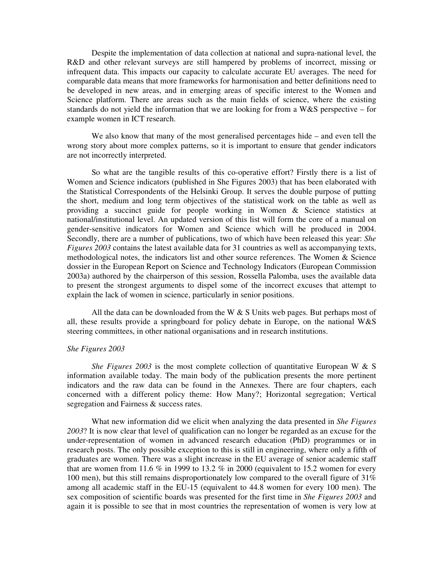Despite the implementation of data collection at national and supra-national level, the R&D and other relevant surveys are still hampered by problems of incorrect, missing or infrequent data. This impacts our capacity to calculate accurate EU averages. The need for comparable data means that more frameworks for harmonisation and better definitions need to be developed in new areas, and in emerging areas of specific interest to the Women and Science platform. There are areas such as the main fields of science, where the existing standards do not yield the information that we are looking for from a W&S perspective – for example women in ICT research.

We also know that many of the most generalised percentages hide – and even tell the wrong story about more complex patterns, so it is important to ensure that gender indicators are not incorrectly interpreted.

So what are the tangible results of this co-operative effort? Firstly there is a list of Women and Science indicators (published in She Figures 2003) that has been elaborated with the Statistical Correspondents of the Helsinki Group. It serves the double purpose of putting the short, medium and long term objectives of the statistical work on the table as well as providing a succinct guide for people working in Women & Science statistics at national/institutional level. An updated version of this list will form the core of a manual on gender-sensitive indicators for Women and Science which will be produced in 2004. Secondly, there are a number of publications, two of which have been released this year: *She Figures 2003* contains the latest available data for 31 countries as well as accompanying texts, methodological notes, the indicators list and other source references. The Women & Science dossier in the European Report on Science and Technology Indicators (European Commission 2003a) authored by the chairperson of this session, Rossella Palomba, uses the available data to present the strongest arguments to dispel some of the incorrect excuses that attempt to explain the lack of women in science, particularly in senior positions.

All the data can be downloaded from the W  $\&$  S Units web pages. But perhaps most of all, these results provide a springboard for policy debate in Europe, on the national W&S steering committees, in other national organisations and in research institutions.

#### *She Figures 2003*

*She Figures 2003* is the most complete collection of quantitative European W & S information available today. The main body of the publication presents the more pertinent indicators and the raw data can be found in the Annexes. There are four chapters, each concerned with a different policy theme: How Many?; Horizontal segregation; Vertical segregation and Fairness & success rates.

What new information did we elicit when analyzing the data presented in *She Figures 2003*? It is now clear that level of qualification can no longer be regarded as an excuse for the under-representation of women in advanced research education (PhD) programmes or in research posts. The only possible exception to this is still in engineering, where only a fifth of graduates are women. There was a slight increase in the EU average of senior academic staff that are women from 11.6  $\%$  in 1999 to 13.2  $\%$  in 2000 (equivalent to 15.2 women for every 100 men), but this still remains disproportionately low compared to the overall figure of 31% among all academic staff in the EU-15 (equivalent to 44.8 women for every 100 men). The sex composition of scientific boards was presented for the first time in *She Figures 2003* and again it is possible to see that in most countries the representation of women is very low at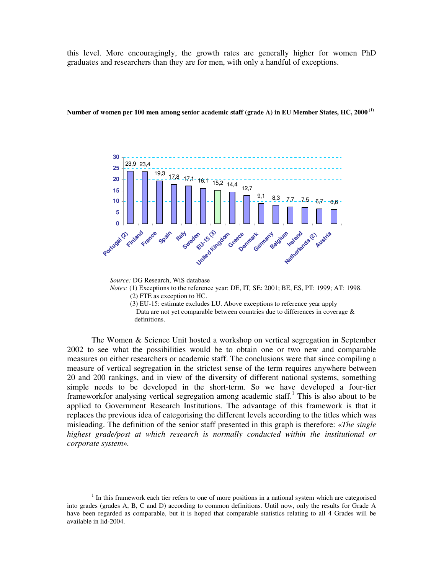this level. More encouragingly, the growth rates are generally higher for women PhD graduates and researchers than they are for men, with only a handful of exceptions.



Number of women per 100 men among senior academic staff (grade A) in EU Member States, HC, 2000  $^{\rm (1)}$ 

*Source:* DG Research, WiS database

*Notes:* (1) Exceptions to the reference year: DE, IT*,* SE: 2001; BE, ES, PT: 1999; AT: 1998. (2) FTE as exception to HC.

(3) EU-15: estimate excludes LU. Above exceptions to reference year apply Data are not yet comparable between countries due to differences in coverage & definitions.

The Women & Science Unit hosted a workshop on vertical segregation in September 2002 to see what the possibilities would be to obtain one or two new and comparable measures on either researchers or academic staff. The conclusions were that since compiling a measure of vertical segregation in the strictest sense of the term requires anywhere between 20 and 200 rankings, and in view of the diversity of different national systems, something simple needs to be developed in the short-term. So we have developed a four-tier frameworkfor analysing vertical segregation among academic staff.<sup>1</sup> This is also about to be applied to Government Research Institutions. The advantage of this framework is that it replaces the previous idea of categorising the different levels according to the titles which was misleading. The definition of the senior staff presented in this graph is therefore: «*The single highest grade/post at which research is normally conducted within the institutional or corporate system*»*.*

 $1$  In this framework each tier refers to one of more positions in a national system which are categorised into grades (grades A, B, C and D) according to common definitions. Until now, only the results for Grade A have been regarded as comparable, but it is hoped that comparable statistics relating to all 4 Grades will be available in lid-2004.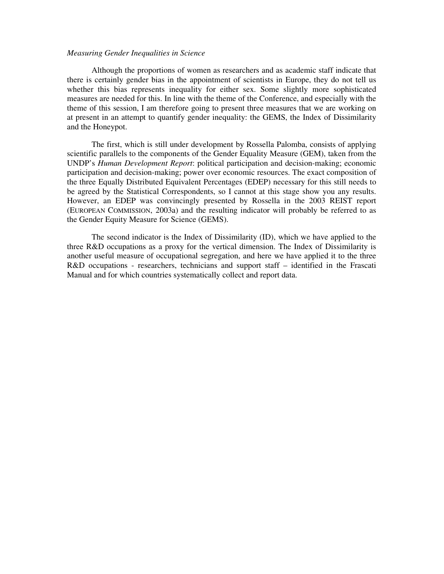#### *Measuring Gender Inequalities in Science*

Although the proportions of women as researchers and as academic staff indicate that there is certainly gender bias in the appointment of scientists in Europe, they do not tell us whether this bias represents inequality for either sex. Some slightly more sophisticated measures are needed for this. In line with the theme of the Conference, and especially with the theme of this session, I am therefore going to present three measures that we are working on at present in an attempt to quantify gender inequality: the GEMS, the Index of Dissimilarity and the Honeypot.

The first, which is still under development by Rossella Palomba, consists of applying scientific parallels to the components of the Gender Equality Measure (GEM), taken from the UNDP's *Human Development Report*: political participation and decision-making; economic participation and decision-making; power over economic resources. The exact composition of the three Equally Distributed Equivalent Percentages (EDEP) necessary for this still needs to be agreed by the Statistical Correspondents, so I cannot at this stage show you any results. However, an EDEP was convincingly presented by Rossella in the 2003 REIST report (EUROPEAN COMMISSION, 2003a) and the resulting indicator will probably be referred to as the Gender Equity Measure for Science (GEMS).

The second indicator is the Index of Dissimilarity (ID), which we have applied to the three R&D occupations as a proxy for the vertical dimension. The Index of Dissimilarity is another useful measure of occupational segregation, and here we have applied it to the three R&D occupations - researchers, technicians and support staff – identified in the Frascati Manual and for which countries systematically collect and report data.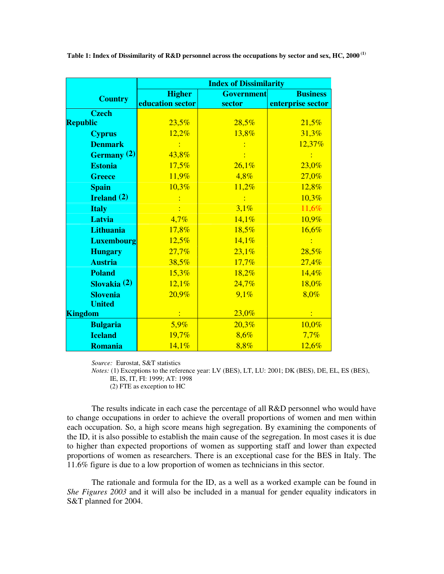| Table 1: Index of Dissimilarity of R&D personnel across the occupations by sector and sex, HC, 2000 $^{\rm (1)}$ |  |  |  |
|------------------------------------------------------------------------------------------------------------------|--|--|--|
|------------------------------------------------------------------------------------------------------------------|--|--|--|

|                      | <b>Index of Dissimilarity</b> |                   |                   |  |
|----------------------|-------------------------------|-------------------|-------------------|--|
| <b>Country</b>       | <b>Higher</b>                 | <b>Government</b> | <b>Business</b>   |  |
|                      | education sector              | sector            | enterprise sector |  |
| <b>Czech</b>         |                               |                   |                   |  |
| <b>Republic</b>      | 23,5%                         | 28,5%             | 21,5%             |  |
| <b>Cyprus</b>        | 12,2%                         | 13,8%             | 31,3%             |  |
| <b>Denmark</b>       |                               |                   | 12,37%            |  |
| Germany (2)          | 43,8%                         |                   |                   |  |
| <b>Estonia</b>       | 17,5%                         | 26,1%             | 23,0%             |  |
| <b>Greece</b>        | 11,9%                         | 4,8%              | 27,0%             |  |
| <b>Spain</b>         | 10,3%                         | 11,2%             | 12,8%             |  |
| <b>Ireland</b> $(2)$ |                               | $\mathbf{E}$      | 10,3%             |  |
| <b>Italy</b>         |                               | 3,1%              | 11,6%             |  |
| Latvia               | 4,7%                          | 14,1%             | 10,9%             |  |
| <b>Lithuania</b>     | 17,8%                         | 18,5%             | 16,6%             |  |
| <b>Luxembourg</b>    | 12,5%                         | 14,1%             |                   |  |
| <b>Hungary</b>       | 27,7%                         | 23,1%             | 28,5%             |  |
| <b>Austria</b>       | 38,5%                         | 17,7%             | 27,4%             |  |
| <b>Poland</b>        | 15,3%                         | 18,2%             | 14,4%             |  |
| Slovakia (2)         | 12,1%                         | 24,7%             | 18,0%             |  |
| <b>Slovenia</b>      | 20,9%                         | 9,1%              | 8,0%              |  |
| <b>United</b>        |                               |                   |                   |  |
| <b>Kingdom</b>       |                               | 23,0%             |                   |  |
| <b>Bulgaria</b>      | 5,9%                          | 20,3%             | 10,0%             |  |
| <b>Iceland</b>       | 19,7%                         | 8,6%              | 7,7%              |  |
| <b>Romania</b>       | 14,1%                         | 8,8%              | 12,6%             |  |

*Source:* Eurostat, S&T statistics

*Notes:* (1) Exceptions to the reference year: LV (BES), LT, LU: 2001; DK (BES), DE, EL, ES (BES), IE, IS, IT, FI: 1999; AT: 1998

(2) FTE as exception to HC

The results indicate in each case the percentage of all R&D personnel who would have to change occupations in order to achieve the overall proportions of women and men within each occupation. So, a high score means high segregation. By examining the components of the ID, it is also possible to establish the main cause of the segregation. In most cases it is due to higher than expected proportions of women as supporting staff and lower than expected proportions of women as researchers. There is an exceptional case for the BES in Italy. The 11.6% figure is due to a low proportion of women as technicians in this sector.

The rationale and formula for the ID, as a well as a worked example can be found in *She Figures 2003* and it will also be included in a manual for gender equality indicators in S&T planned for 2004.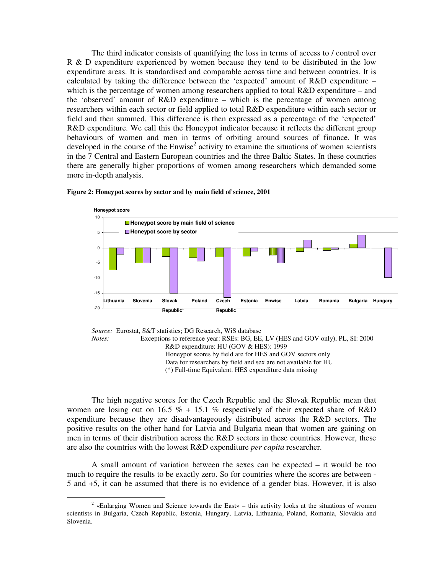The third indicator consists of quantifying the loss in terms of access to / control over R & D expenditure experienced by women because they tend to be distributed in the low expenditure areas. It is standardised and comparable across time and between countries. It is calculated by taking the difference between the 'expected' amount of R&D expenditure – which is the percentage of women among researchers applied to total R&D expenditure – and the 'observed' amount of R&D expenditure – which is the percentage of women among researchers within each sector or field applied to total R&D expenditure within each sector or field and then summed. This difference is then expressed as a percentage of the 'expected' R&D expenditure. We call this the Honeypot indicator because it reflects the different group behaviours of women and men in terms of orbiting around sources of finance. It was developed in the course of the Enwise<sup>2</sup> activity to examine the situations of women scientists in the 7 Central and Eastern European countries and the three Baltic States. In these countries there are generally higher proportions of women among researchers which demanded some more in-depth analysis.





*Notes:* Exceptions to reference year: RSEs: BG, EE, LV (HES and GOV only), PL, SI: 2000 R&D expenditure: HU (GOV & HES): 1999 Honeypot scores by field are for HES and GOV sectors only Data for researchers by field and sex are not available for HU (\*) Full-time Equivalent. HES expenditure data missing

The high negative scores for the Czech Republic and the Slovak Republic mean that women are losing out on 16.5 % + 15.1 % respectively of their expected share of R&D expenditure because they are disadvantageously distributed across the R&D sectors. The positive results on the other hand for Latvia and Bulgaria mean that women are gaining on men in terms of their distribution across the R&D sectors in these countries. However, these are also the countries with the lowest R&D expenditure *per capita* researcher.

A small amount of variation between the sexes can be expected – it would be too much to require the results to be exactly zero. So for countries where the scores are between - 5 and +5, it can be assumed that there is no evidence of a gender bias. However, it is also

*Source:* Eurostat, S&T statistics; DG Research, WiS database

 $2^2$  «Enlarging Women and Science towards the East» – this activity looks at the situations of women scientists in Bulgaria, Czech Republic, Estonia, Hungary, Latvia, Lithuania, Poland, Romania, Slovakia and Slovenia.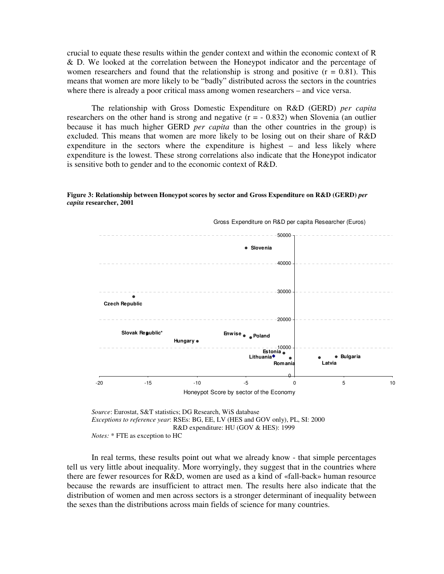crucial to equate these results within the gender context and within the economic context of R & D. We looked at the correlation between the Honeypot indicator and the percentage of women researchers and found that the relationship is strong and positive  $(r = 0.81)$ . This means that women are more likely to be "badly" distributed across the sectors in the countries where there is already a poor critical mass among women researchers – and vice versa.

The relationship with Gross Domestic Expenditure on R&D (GERD) *per capita* researchers on the other hand is strong and negative  $(r = -0.832)$  when Slovenia (an outlier because it has much higher GERD *per capita* than the other countries in the group) is excluded. This means that women are more likely to be losing out on their share of R&D expenditure in the sectors where the expenditure is highest – and less likely where expenditure is the lowest. These strong correlations also indicate that the Honeypot indicator is sensitive both to gender and to the economic context of R&D.





Gross Expenditure on R&D per capita Researcher (Euros)

*Source*: Eurostat, S&T statistics; DG Research, WiS database *Exceptions to reference year*: RSEs: BG, EE, LV (HES and GOV only), PL, SI: 2000 R&D expenditure: HU (GOV & HES): 1999 *Notes:* \* FTE as exception to HC

In real terms, these results point out what we already know - that simple percentages tell us very little about inequality. More worryingly, they suggest that in the countries where there are fewer resources for R&D, women are used as a kind of «fall-back» human resource because the rewards are insufficient to attract men. The results here also indicate that the distribution of women and men across sectors is a stronger determinant of inequality between the sexes than the distributions across main fields of science for many countries.